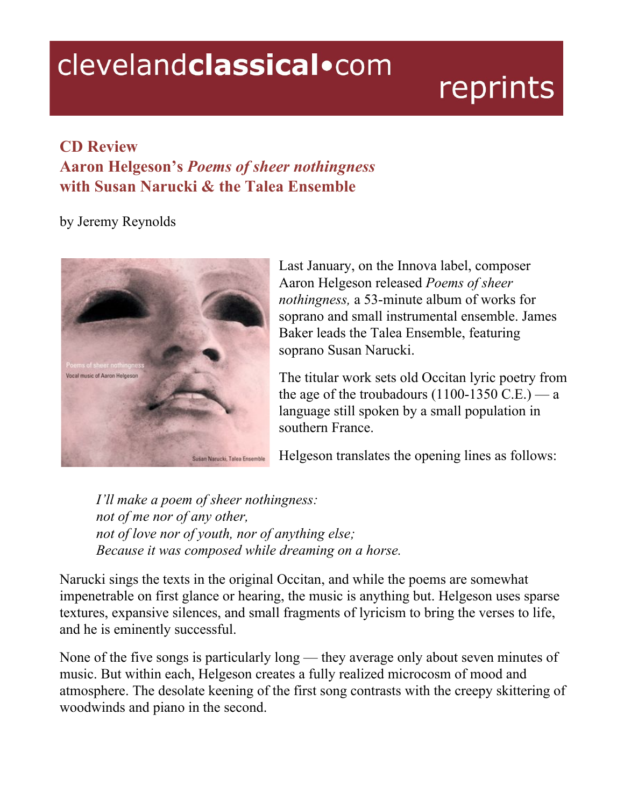## clevelandclassical.com

## reprints

## **CD Review Aaron Helgeson's** *Poems of sheer nothingness* **with Susan Narucki & the Talea Ensemble**

by Jeremy Reynolds



Last January, on the Innova label, composer Aaron Helgeson released *Poems of sheer nothingness,* a 53-minute album of works for soprano and small instrumental ensemble. James Baker leads the Talea Ensemble, featuring soprano Susan Narucki.

The titular work sets old Occitan lyric poetry from the age of the troubadours  $(1100-1350 \text{ C.E.})$  — a language still spoken by a small population in southern France.

Helgeson translates the opening lines as follows:

*I'll make a poem of sheer nothingness: not of me nor of any other, not of love nor of youth, nor of anything else; Because it was composed while dreaming on a horse.*

Narucki sings the texts in the original Occitan, and while the poems are somewhat impenetrable on first glance or hearing, the music is anything but. Helgeson uses sparse textures, expansive silences, and small fragments of lyricism to bring the verses to life, and he is eminently successful.

None of the five songs is particularly long — they average only about seven minutes of music. But within each, Helgeson creates a fully realized microcosm of mood and atmosphere. The desolate keening of the first song contrasts with the creepy skittering of woodwinds and piano in the second.